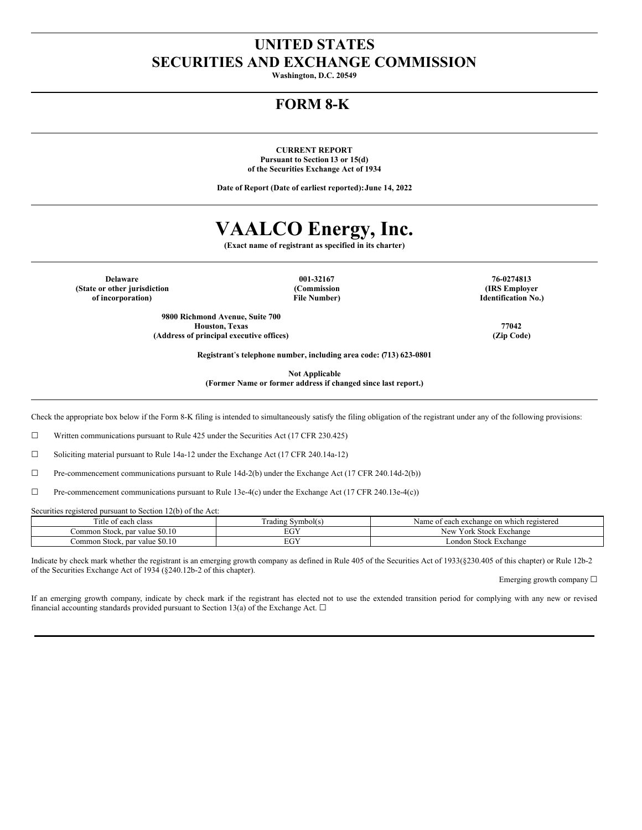# **UNITED STATES SECURITIES AND EXCHANGE COMMISSION**

**Washington, D.C. 20549**

## **FORM 8-K**

**CURRENT REPORT Pursuant to Section 13 or 15(d) of the Securities Exchange Act of 1934**

**Date of Report (Date of earliest reported):June 14, 2022**

# **VAALCO Energy, Inc.**

**(Exact name of registrant as specified in its charter)**

**Delaware 001-32167 76-0274813 (State or other jurisdiction of incorporation)**

**(Commission File Number)**

**(IRS Employer Identification No.)**

**9800 Richmond Avenue, Suite 700 Houston, Texas 77042 (Address of principal executive offices) (Zip Code)**

**Registrant**'**s telephone number, including area code: (713) 623-0801**

**Not Applicable**

**(Former Name or former address if changed since last report.)**

Check the appropriate box below if the Form 8-K filing is intended to simultaneously satisfy the filing obligation of the registrant under any of the following provisions:

 $\Box$  Written communications pursuant to Rule 425 under the Securities Act (17 CFR 230.425)

☐ Soliciting material pursuant to Rule 14a-12 under the Exchange Act (17 CFR 240.14a-12)

☐ Pre-commencement communications pursuant to Rule 14d-2(b) under the Exchange Act (17 CFR 240.14d-2(b))

 $\Box$  Pre-commencement communications pursuant to Rule 13e-4(c) under the Exchange Act (17 CFR 240.13e-4(c))

Securities registered pursuant to Section 12(b) of the Act:

| Title of each class                 | Trading Symbol(s)  | each exchange on which registered<br>Name of |
|-------------------------------------|--------------------|----------------------------------------------|
| value \$0.10<br>∴ommon Stock. par v | <b>DOT</b><br>LU 1 | Y ork<br>New<br><b>Stock Exchange</b>        |
| , par value \$0.10<br>∴ommon Stock. | <b>DOT</b><br>Lv.  | London Stock-<br>t Exchange                  |

Indicate by check mark whether the registrant is an emerging growth company as defined in Rule 405 of the Securities Act of 1933(§230.405 of this chapter) or Rule 12b-2 of the Securities Exchange Act of 1934 (§240.12b-2 of this chapter).

Emerging growth company ☐

If an emerging growth company, indicate by check mark if the registrant has elected not to use the extended transition period for complying with any new or revised financial accounting standards provided pursuant to Section 13(a) of the Exchange Act.  $\Box$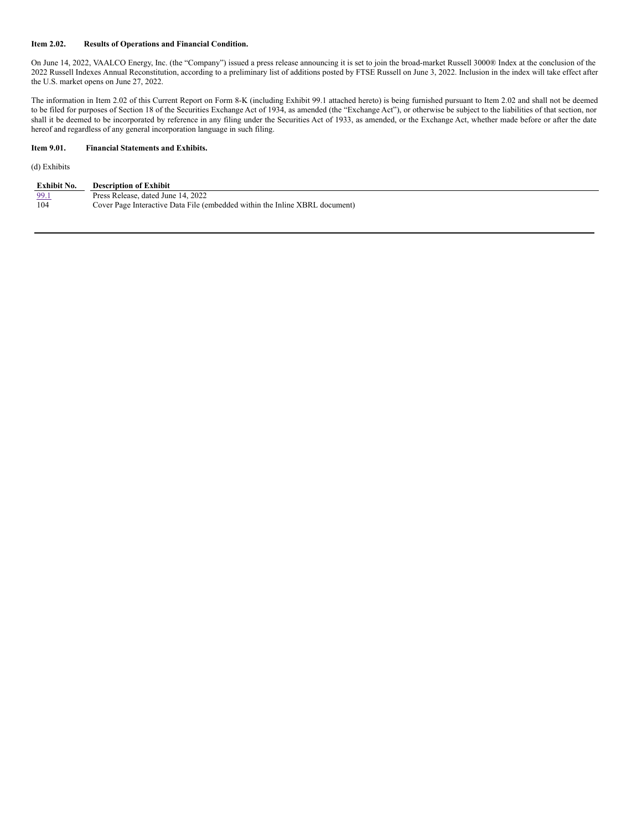#### **Item 2.02. Results of Operations and Financial Condition.**

On June 14, 2022, VAALCO Energy, Inc. (the "Company") issued a press release announcing it is set to join the broad-market Russell 3000® Index at the conclusion of the 2022 Russell Indexes Annual Reconstitution, according to a preliminary list of additions posted by FTSE Russell on June 3, 2022. Inclusion in the index will take effect after the U.S. market opens on June 27, 2022.

The information in Item 2.02 of this Current Report on Form 8-K (including Exhibit 99.1 attached hereto) is being furnished pursuant to Item 2.02 and shall not be deemed to be filed for purposes of Section 18 of the Securities Exchange Act of 1934, as amended (the "Exchange Act"), or otherwise be subject to the liabilities of that section, nor shall it be deemed to be incorporated by reference in any filing under the Securities Act of 1933, as amended, or the Exchange Act, whether made before or after the date hereof and regardless of any general incorporation language in such filing.

## **Item 9.01. Financial Statements and Exhibits.**

(d) Exhibits

| Exhibit No. | <b>Description of Exhibit</b>                                               |
|-------------|-----------------------------------------------------------------------------|
| 99.1        | Press Release, dated June 14, 2022                                          |
| 104         | Cover Page Interactive Data File (embedded within the Inline XBRL document) |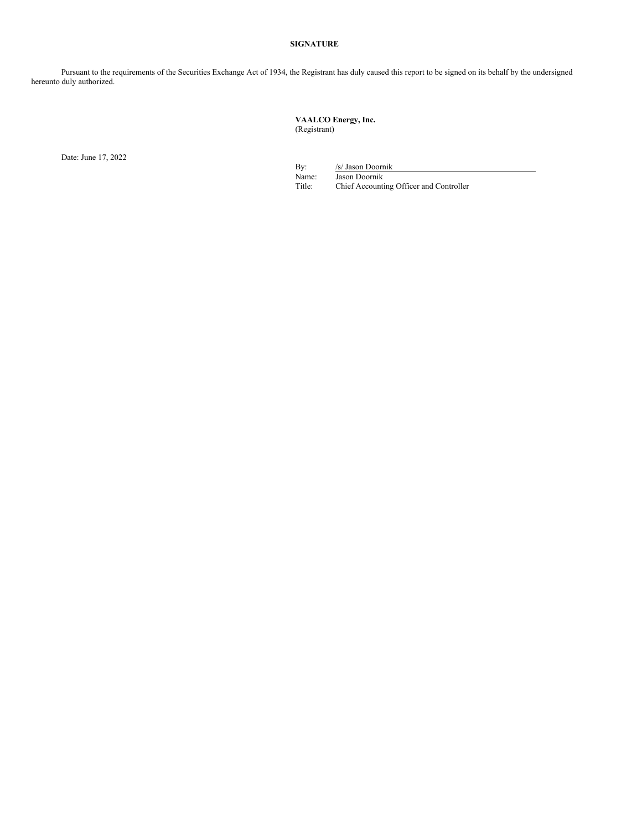## **SIGNATURE**

Pursuant to the requirements of the Securities Exchange Act of 1934, the Registrant has duly caused this report to be signed on its behalf by the undersigned hereunto duly authorized.

> **VAALCO Energy, Inc.** (Registrant)

Date: June 17, 2022

By: /s/ Jason Doornik Name: Jason Doornik Title: Chief Accounting Officer and Controller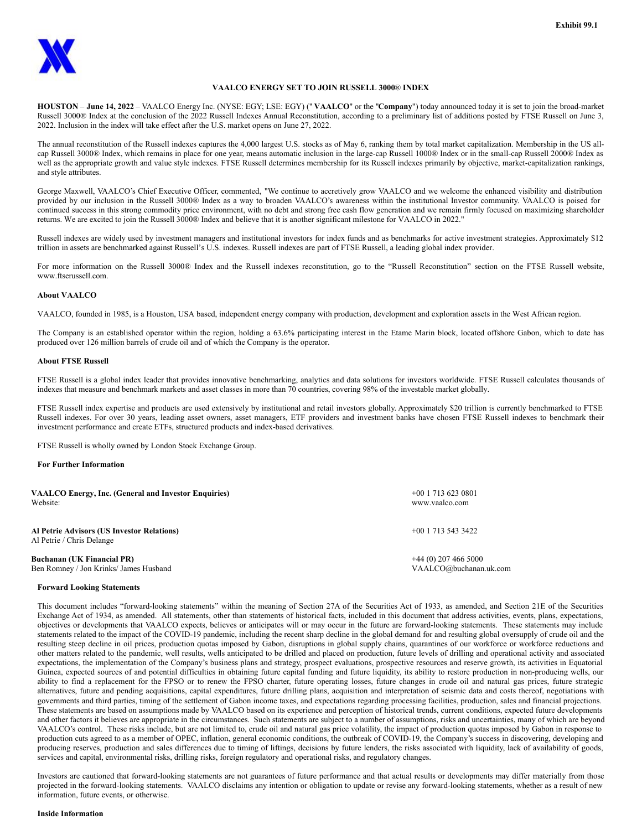<span id="page-3-0"></span>

#### **VAALCO ENERGY SET TO JOIN RUSSELL 3000**® **INDEX**

**HOUSTON** – **June 14, 2022** – VAALCO Energy Inc. (NYSE: EGY; LSE: EGY) (" **VAALCO**" or the "**Company**") today announced today it is set to join the broad-market Russell 3000® Index at the conclusion of the 2022 Russell Indexes Annual Reconstitution, according to a preliminary list of additions posted by FTSE Russell on June 3, 2022. Inclusion in the index will take effect after the U.S. market opens on June 27, 2022.

The annual reconstitution of the Russell indexes captures the 4,000 largest U.S. stocks as of May 6, ranking them by total market capitalization. Membership in the US allcap Russell 3000® Index, which remains in place for one year, means automatic inclusion in the large-cap Russell 1000® Index or in the small-cap Russell 2000® Index as well as the appropriate growth and value style indexes. FTSE Russell determines membership for its Russell indexes primarily by objective, market-capitalization rankings, and style attributes.

George Maxwell, VAALCO's Chief Executive Officer, commented, "We continue to accretively grow VAALCO and we welcome the enhanced visibility and distribution provided by our inclusion in the Russell 3000® Index as a way to broaden VAALCO's awareness within the institutional Investor community. VAALCO is poised for continued success in this strong commodity price environment, with no debt and strong free cash flow generation and we remain firmly focused on maximizing shareholder returns. We are excited to join the Russell 3000® Index and believe that it is another significant milestone for VAALCO in 2022."

Russell indexes are widely used by investment managers and institutional investors for index funds and as benchmarks for active investment strategies. Approximately \$12 trillion in assets are benchmarked against Russell's U.S. indexes. Russell indexes are part of FTSE Russell, a leading global index provider.

For more information on the Russell 3000® Index and the Russell indexes reconstitution, go to the "Russell Reconstitution" section on the FTSE Russell website, www.ftserussell.com.

#### **About VAALCO**

VAALCO, founded in 1985, is a Houston, USA based, independent energy company with production, development and exploration assets in the West African region.

The Company is an established operator within the region, holding a 63.6% participating interest in the Etame Marin block, located offshore Gabon, which to date has produced over 126 million barrels of crude oil and of which the Company is the operator.

#### **About FTSE Russell**

FTSE Russell is a global index leader that provides innovative benchmarking, analytics and data solutions for investors worldwide. FTSE Russell calculates thousands of indexes that measure and benchmark markets and asset classes in more than 70 countries, covering 98% of the investable market globally.

FTSE Russell index expertise and products are used extensively by institutional and retail investors globally. Approximately \$20 trillion is currently benchmarked to FTSE Russell indexes. For over 30 years, leading asset owners, asset managers, ETF providers and investment banks have chosen FTSE Russell indexes to benchmark their investment performance and create ETFs, structured products and index-based derivatives.

FTSE Russell is wholly owned by London Stock Exchange Group.

#### **For Further Information**

| <b>VAALCO Energy, Inc. (General and Investor Enquiries)</b>             | $+0017136230801$       |
|-------------------------------------------------------------------------|------------------------|
| Website:                                                                | www.vaalco.com         |
| Al Petrie Advisors (US Investor Relations)<br>Al Petrie / Chris Delange | $+00$ 1 713 543 3422   |
| <b>Buchanan (UK Financial PR)</b>                                       | $+44(0)$ 207 466 5000  |
| Ben Romney / Jon Krinks/ James Husband                                  | VAALCO@buchanan.uk.com |

#### **Forward Looking Statements**

This document includes "forward-looking statements" within the meaning of Section 27A of the Securities Act of 1933, as amended, and Section 21E of the Securities Exchange Act of 1934, as amended. All statements, other than statements of historical facts, included in this document that address activities, events, plans, expectations, objectives or developments that VAALCO expects, believes or anticipates will or may occur in the future are forward-looking statements. These statements may include statements related to the impact of the COVID-19 pandemic, including the recent sharp decline in the global demand for and resulting global oversupply of crude oil and the resulting steep decline in oil prices, production quotas imposed by Gabon, disruptions in global supply chains, quarantines of our workforce or workforce reductions and other matters related to the pandemic, well results, wells anticipated to be drilled and placed on production, future levels of drilling and operational activity and associated expectations, the implementation of the Company's business plans and strategy, prospect evaluations, prospective resources and reserve growth, its activities in Equatorial Guinea, expected sources of and potential difficulties in obtaining future capital funding and future liquidity, its ability to restore production in non-producing wells, our ability to find a replacement for the FPSO or to renew the FPSO charter, future operating losses, future changes in crude oil and natural gas prices, future strategic alternatives, future and pending acquisitions, capital expenditures, future drilling plans, acquisition and interpretation of seismic data and costs thereof, negotiations with governments and third parties, timing of the settlement of Gabon income taxes, and expectations regarding processing facilities, production, sales and financial projections. These statements are based on assumptions made by VAALCO based on its experience and perception of historical trends, current conditions, expected future developments and other factors it believes are appropriate in the circumstances. Such statements are subject to a number of assumptions, risks and uncertainties, many of which are beyond VAALCO's control. These risks include, but are not limited to, crude oil and natural gas price volatility, the impact of production quotas imposed by Gabon in response to production cuts agreed to as a member of OPEC, inflation, general economic conditions, the outbreak of COVID-19, the Company's success in discovering, developing and producing reserves, production and sales differences due to timing of liftings, decisions by future lenders, the risks associated with liquidity, lack of availability of goods, services and capital, environmental risks, drilling risks, foreign regulatory and operational risks, and regulatory changes.

Investors are cautioned that forward-looking statements are not guarantees of future performance and that actual results or developments may differ materially from those projected in the forward-looking statements. VAALCO disclaims any intention or obligation to update or revise any forward-looking statements, whether as a result of new information, future events, or otherwise.

#### **Inside Information**